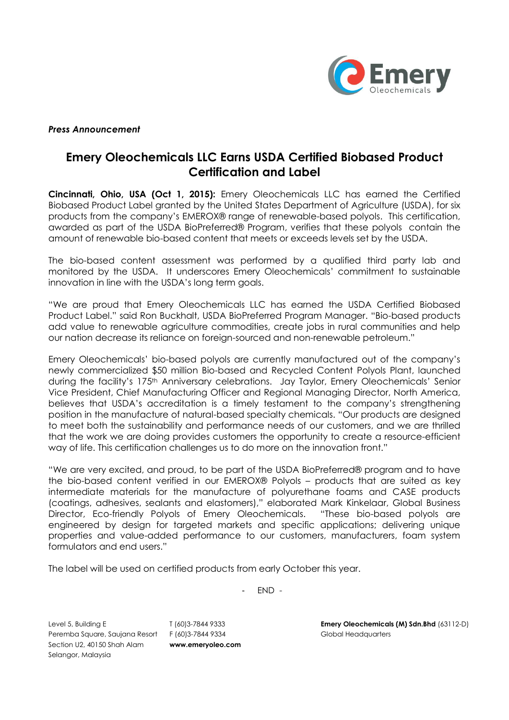

#### *Press Announcement*

# **Emery Oleochemicals LLC Earns USDA Certified Biobased Product Certification and Label**

**Cincinnati, Ohio, USA (Oct 1, 2015):** Emery Oleochemicals LLC has earned the Certified Biobased Product Label granted by the United States Department of Agriculture (USDA), for six products from the company's EMEROX® range of renewable-based polyols. This certification, awarded as part of the USDA BioPreferred® Program, verifies that these polyols contain the amount of renewable bio-based content that meets or exceeds levels set by the USDA.

The bio-based content assessment was performed by a qualified third party lab and monitored by the USDA. It underscores Emery Oleochemicals' commitment to sustainable innovation in line with the USDA's long term goals.

"We are proud that Emery Oleochemicals LLC has earned the USDA Certified Biobased Product Label." said Ron Buckhalt, USDA BioPreferred Program Manager. "Bio-based products add value to renewable agriculture commodities, create jobs in rural communities and help our nation decrease its reliance on foreign-sourced and non-renewable petroleum."

Emery Oleochemicals' bio-based polyols are currently manufactured out of the company's newly commercialized \$50 million Bio-based and Recycled Content Polyols Plant, launched during the facility's 175th Anniversary celebrations. Jay Taylor, Emery Oleochemicals' Senior Vice President, Chief Manufacturing Officer and Regional Managing Director, North America, believes that USDA's accreditation is a timely testament to the company's strengthening position in the manufacture of natural-based specialty chemicals. "Our products are designed to meet both the sustainability and performance needs of our customers, and we are thrilled that the work we are doing provides customers the opportunity to create a resource-efficient way of life. This certification challenges us to do more on the innovation front."

"We are very excited, and proud, to be part of the USDA BioPreferred® program and to have the bio-based content verified in our EMEROX® Polyols – products that are suited as key intermediate materials for the manufacture of polyurethane foams and CASE products (coatings, adhesives, sealants and elastomers)," elaborated Mark Kinkelaar, Global Business Director, Eco-friendly Polyols of Emery Oleochemicals. "These bio-based polyols are engineered by design for targeted markets and specific applications; delivering unique properties and value-added performance to our customers, manufacturers, foam system formulators and end users."

The label will be used on certified products from early October this year.

- END -

Peremba Square, Saujana Resort F (60)3-7844 9334 Global Headquarters Section U2, 40150 Shah Alam **www.emeryoleo.com** Selangor, Malaysia

Level 5, Building E T (60)3-7844 9333 **Emery Oleochemicals (M) Sdn.Bhd** (63112-D)